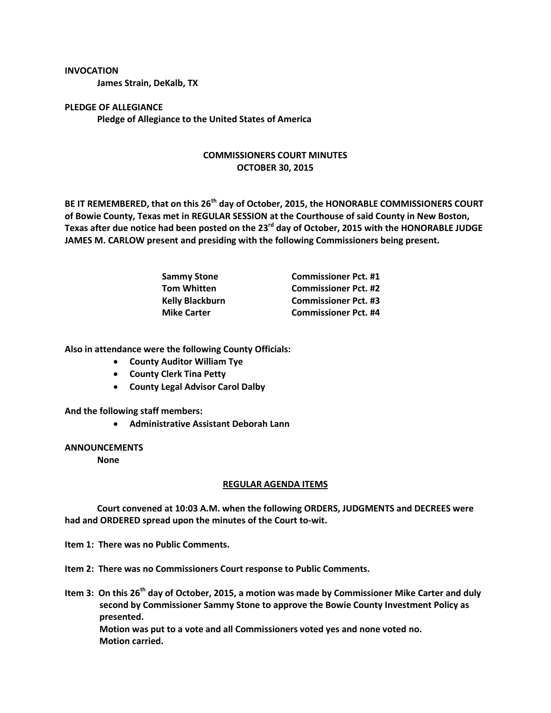## **INVOCATION**

**James Strain, DeKalb, TX**

**PLEDGE OF ALLEGIANCE Pledge of Allegiance to the United States of America**

## **COMMISSIONERS COURT MINUTES OCTOBER 30, 2015**

**BE IT REMEMBERED, that on this 26th day of October, 2015, the HONORABLE COMMISSIONERS COURT of Bowie County, Texas met in REGULAR SESSION at the Courthouse of said County in New Boston, Texas after due notice had been posted on the 23rd day of October, 2015 with the HONORABLE JUDGE JAMES M. CARLOW present and presiding with the following Commissioners being present.**

| <b>Sammy Stone</b>     | <b>Commissioner Pct. #1</b> |
|------------------------|-----------------------------|
| <b>Tom Whitten</b>     | <b>Commissioner Pct. #2</b> |
| <b>Kelly Blackburn</b> | <b>Commissioner Pct. #3</b> |
| <b>Mike Carter</b>     | <b>Commissioner Pct. #4</b> |

**Also in attendance were the following County Officials:**

- **County Auditor William Tye**
- **County Clerk Tina Petty**
- **County Legal Advisor Carol Dalby**

**And the following staff members:**

**Administrative Assistant Deborah Lann**

**ANNOUNCEMENTS**

**None**

## **REGULAR AGENDA ITEMS**

**Court convened at 10:03 A.M. when the following ORDERS, JUDGMENTS and DECREES were had and ORDERED spread upon the minutes of the Court to-wit.**

**Item 1: There was no Public Comments.**

**Item 2: There was no Commissioners Court response to Public Comments.**

**Item 3: On this 26th day of October, 2015, a motion was made by Commissioner Mike Carter and duly second by Commissioner Sammy Stone to approve the Bowie County Investment Policy as presented. Motion was put to a vote and all Commissioners voted yes and none voted no. Motion carried.**